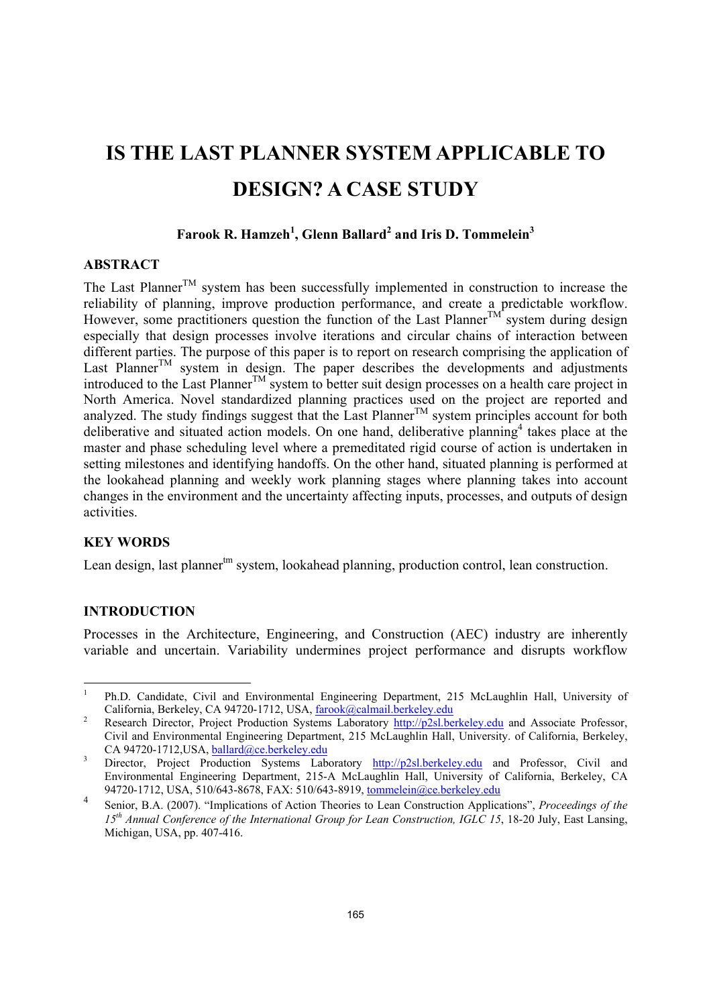# **IS THE LAST PLANNER SYSTEM APPLICABLE TO DESIGN? A CASE STUDY**

## Farook R. Hamzeh<sup>1</sup>, Glenn Ballard<sup>2</sup> and Iris D. Tommelein<sup>3</sup>

## **ABSTRACT**

The Last Planner<sup>TM</sup> system has been successfully implemented in construction to increase the reliability of planning, improve production performance, and create a predictable workflow. However, some practitioners question the function of the Last PlannerTM system during design especially that design processes involve iterations and circular chains of interaction between different parties. The purpose of this paper is to report on research comprising the application of Last Planner<sup>TM</sup> system in design. The paper describes the developments and adjustments introduced to the Last Planner<sup>TM</sup> system to better suit design processes on a health care project in North America. Novel standardized planning practices used on the project are reported and analyzed. The study findings suggest that the Last Planner<sup>TM</sup> system principles account for both deliberative and situated action models. On one hand, deliberative planning<sup>4</sup> takes place at the master and phase scheduling level where a premeditated rigid course of action is undertaken in setting milestones and identifying handoffs. On the other hand, situated planning is performed at the lookahead planning and weekly work planning stages where planning takes into account changes in the environment and the uncertainty affecting inputs, processes, and outputs of design activities.

## **KEY WORDS**

Lean design, last planner<sup>tm</sup> system, lookahead planning, production control, lean construction.

## **INTRODUCTION**

-

Processes in the Architecture, Engineering, and Construction (AEC) industry are inherently variable and uncertain. Variability undermines project performance and disrupts workflow

<sup>1</sup> Ph.D. Candidate, Civil and Environmental Engineering Department, 215 McLaughlin Hall, University of California, Berkeley, CA 94720-1712, USA,  $\frac{\text{farook}(\partial \text{calmail}.\text{berkeley.edu})}{\text{Perbed: Derbot}(\partial \text{Perley})}$ 

Research Director, Project Production Systems Laboratory http://p2sl.berkeley.edu and Associate Professor, Civil and Environmental Engineering Department, 215 McLaughlin Hall, University. of California, Berkeley, CA 94720-1712, USA, ballard@ce.berkeley.edu

Director, Project Production Systems Laboratory http://p2sl.berkeley.edu and Professor, Civil and Environmental Engineering Department, 215-A McLaughlin Hall, University of California, Berkeley, CA 94720-1712, USA, 510/643-8678, FAX: 510/643-8919, tommelein@ce.berkeley.edu

<sup>4</sup> Senior, B.A. (2007). "Implications of Action Theories to Lean Construction Applications", *Proceedings of the 15th Annual Conference of the International Group for Lean Construction, IGLC 15*, 18-20 July, East Lansing, Michigan, USA, pp. 407-416.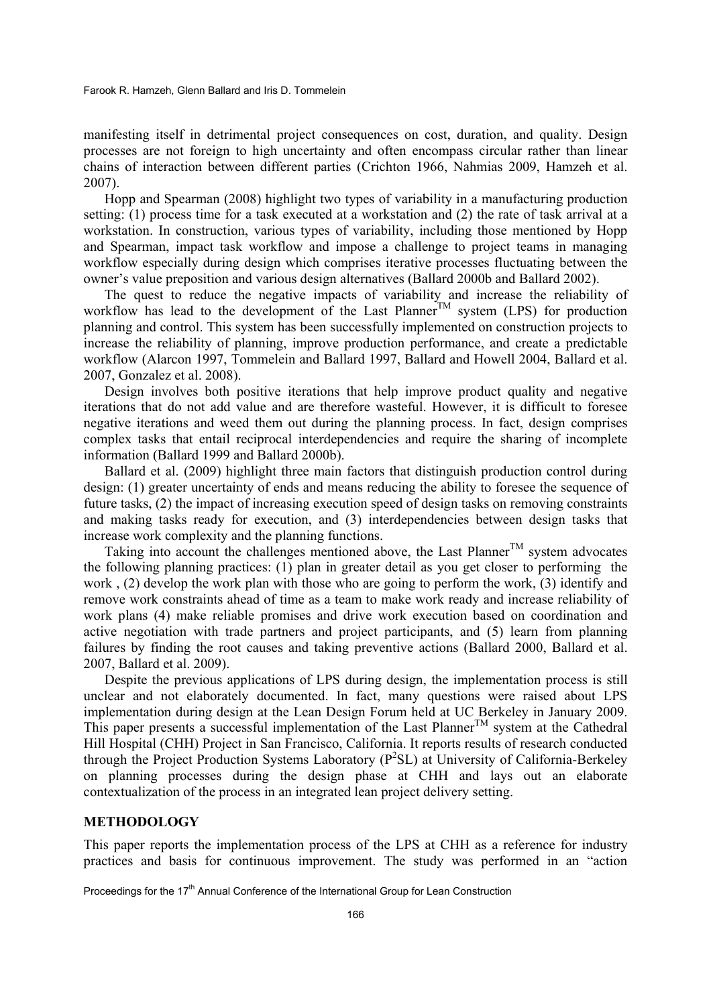manifesting itself in detrimental project consequences on cost, duration, and quality. Design processes are not foreign to high uncertainty and often encompass circular rather than linear chains of interaction between different parties (Crichton 1966, Nahmias 2009, Hamzeh et al. 2007).

Hopp and Spearman (2008) highlight two types of variability in a manufacturing production setting: (1) process time for a task executed at a workstation and (2) the rate of task arrival at a workstation. In construction, various types of variability, including those mentioned by Hopp and Spearman, impact task workflow and impose a challenge to project teams in managing workflow especially during design which comprises iterative processes fluctuating between the owner's value preposition and various design alternatives (Ballard 2000b and Ballard 2002).

The quest to reduce the negative impacts of variability and increase the reliability of workflow has lead to the development of the Last Planner<sup>TM</sup> system (LPS) for production planning and control. This system has been successfully implemented on construction projects to increase the reliability of planning, improve production performance, and create a predictable workflow (Alarcon 1997, Tommelein and Ballard 1997, Ballard and Howell 2004, Ballard et al. 2007, Gonzalez et al. 2008).

Design involves both positive iterations that help improve product quality and negative iterations that do not add value and are therefore wasteful. However, it is difficult to foresee negative iterations and weed them out during the planning process. In fact, design comprises complex tasks that entail reciprocal interdependencies and require the sharing of incomplete information (Ballard 1999 and Ballard 2000b).

Ballard et al. (2009) highlight three main factors that distinguish production control during design: (1) greater uncertainty of ends and means reducing the ability to foresee the sequence of future tasks, (2) the impact of increasing execution speed of design tasks on removing constraints and making tasks ready for execution, and (3) interdependencies between design tasks that increase work complexity and the planning functions.

Taking into account the challenges mentioned above, the Last Planner<sup>TM</sup> system advocates the following planning practices: (1) plan in greater detail as you get closer to performing the work , (2) develop the work plan with those who are going to perform the work, (3) identify and remove work constraints ahead of time as a team to make work ready and increase reliability of work plans (4) make reliable promises and drive work execution based on coordination and active negotiation with trade partners and project participants, and (5) learn from planning failures by finding the root causes and taking preventive actions (Ballard 2000, Ballard et al. 2007, Ballard et al. 2009).

Despite the previous applications of LPS during design, the implementation process is still unclear and not elaborately documented. In fact, many questions were raised about LPS implementation during design at the Lean Design Forum held at UC Berkeley in January 2009. This paper presents a successful implementation of the Last Planner<sup>TM</sup> system at the Cathedral Hill Hospital (CHH) Project in San Francisco, California. It reports results of research conducted through the Project Production Systems Laboratory ( $P^2SL$ ) at University of California-Berkeley on planning processes during the design phase at CHH and lays out an elaborate contextualization of the process in an integrated lean project delivery setting.

#### **METHODOLOGY**

This paper reports the implementation process of the LPS at CHH as a reference for industry practices and basis for continuous improvement. The study was performed in an "action

Proceedings for the 17<sup>th</sup> Annual Conference of the International Group for Lean Construction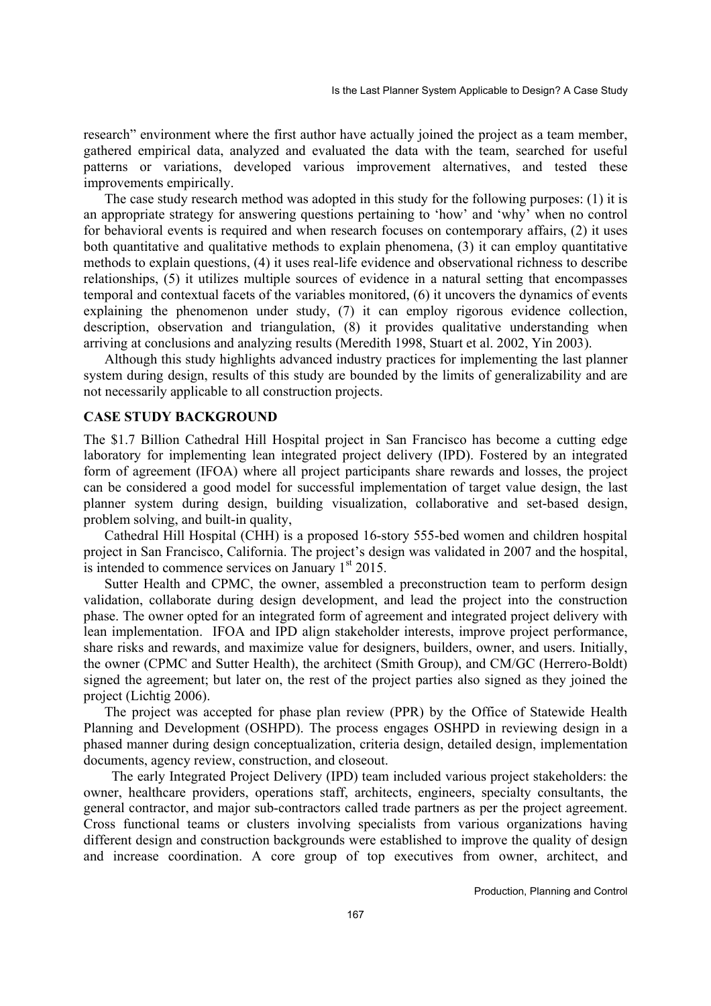research" environment where the first author have actually joined the project as a team member, gathered empirical data, analyzed and evaluated the data with the team, searched for useful patterns or variations, developed various improvement alternatives, and tested these improvements empirically.

The case study research method was adopted in this study for the following purposes: (1) it is an appropriate strategy for answering questions pertaining to 'how' and 'why' when no control for behavioral events is required and when research focuses on contemporary affairs, (2) it uses both quantitative and qualitative methods to explain phenomena, (3) it can employ quantitative methods to explain questions, (4) it uses real-life evidence and observational richness to describe relationships, (5) it utilizes multiple sources of evidence in a natural setting that encompasses temporal and contextual facets of the variables monitored, (6) it uncovers the dynamics of events explaining the phenomenon under study, (7) it can employ rigorous evidence collection, description, observation and triangulation, (8) it provides qualitative understanding when arriving at conclusions and analyzing results (Meredith 1998, Stuart et al. 2002, Yin 2003).

Although this study highlights advanced industry practices for implementing the last planner system during design, results of this study are bounded by the limits of generalizability and are not necessarily applicable to all construction projects.

## **CASE STUDY BACKGROUND**

The \$1.7 Billion Cathedral Hill Hospital project in San Francisco has become a cutting edge laboratory for implementing lean integrated project delivery (IPD). Fostered by an integrated form of agreement (IFOA) where all project participants share rewards and losses, the project can be considered a good model for successful implementation of target value design, the last planner system during design, building visualization, collaborative and set-based design, problem solving, and built-in quality,

Cathedral Hill Hospital (CHH) is a proposed 16-story 555-bed women and children hospital project in San Francisco, California. The project's design was validated in 2007 and the hospital, is intended to commence services on January  $1<sup>st</sup> 2015$ .

Sutter Health and CPMC, the owner, assembled a preconstruction team to perform design validation, collaborate during design development, and lead the project into the construction phase. The owner opted for an integrated form of agreement and integrated project delivery with lean implementation. IFOA and IPD align stakeholder interests, improve project performance, share risks and rewards, and maximize value for designers, builders, owner, and users. Initially, the owner (CPMC and Sutter Health), the architect (Smith Group), and CM/GC (Herrero-Boldt) signed the agreement; but later on, the rest of the project parties also signed as they joined the project (Lichtig 2006).

The project was accepted for phase plan review (PPR) by the Office of Statewide Health Planning and Development (OSHPD). The process engages OSHPD in reviewing design in a phased manner during design conceptualization, criteria design, detailed design, implementation documents, agency review, construction, and closeout.

 The early Integrated Project Delivery (IPD) team included various project stakeholders: the owner, healthcare providers, operations staff, architects, engineers, specialty consultants, the general contractor, and major sub-contractors called trade partners as per the project agreement. Cross functional teams or clusters involving specialists from various organizations having different design and construction backgrounds were established to improve the quality of design and increase coordination. A core group of top executives from owner, architect, and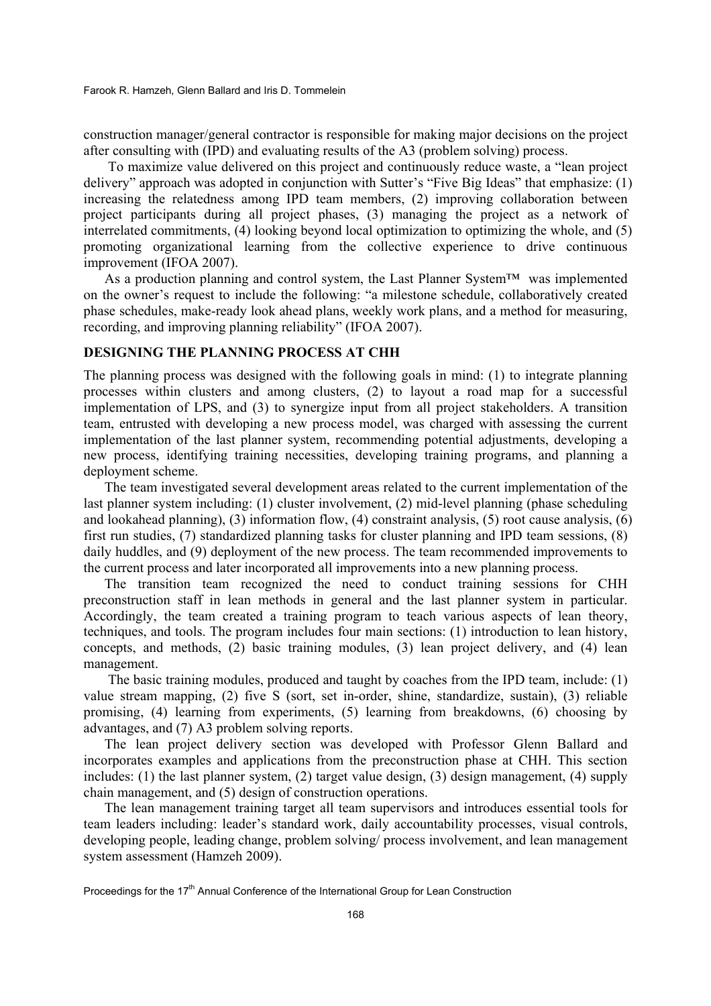construction manager/general contractor is responsible for making major decisions on the project after consulting with (IPD) and evaluating results of the A3 (problem solving) process.

 To maximize value delivered on this project and continuously reduce waste, a "lean project delivery" approach was adopted in conjunction with Sutter's "Five Big Ideas" that emphasize: (1) increasing the relatedness among IPD team members, (2) improving collaboration between project participants during all project phases, (3) managing the project as a network of interrelated commitments, (4) looking beyond local optimization to optimizing the whole, and (5) promoting organizational learning from the collective experience to drive continuous improvement (IFOA 2007).

As a production planning and control system, the Last Planner System™ was implemented on the owner's request to include the following: "a milestone schedule, collaboratively created phase schedules, make-ready look ahead plans, weekly work plans, and a method for measuring, recording, and improving planning reliability" (IFOA 2007).

## **DESIGNING THE PLANNING PROCESS AT CHH**

The planning process was designed with the following goals in mind: (1) to integrate planning processes within clusters and among clusters, (2) to layout a road map for a successful implementation of LPS, and (3) to synergize input from all project stakeholders. A transition team, entrusted with developing a new process model, was charged with assessing the current implementation of the last planner system, recommending potential adjustments, developing a new process, identifying training necessities, developing training programs, and planning a deployment scheme.

The team investigated several development areas related to the current implementation of the last planner system including: (1) cluster involvement, (2) mid-level planning (phase scheduling and lookahead planning), (3) information flow, (4) constraint analysis, (5) root cause analysis, (6) first run studies, (7) standardized planning tasks for cluster planning and IPD team sessions, (8) daily huddles, and (9) deployment of the new process. The team recommended improvements to the current process and later incorporated all improvements into a new planning process.

The transition team recognized the need to conduct training sessions for CHH preconstruction staff in lean methods in general and the last planner system in particular. Accordingly, the team created a training program to teach various aspects of lean theory, techniques, and tools. The program includes four main sections: (1) introduction to lean history, concepts, and methods, (2) basic training modules, (3) lean project delivery, and (4) lean management.

 The basic training modules, produced and taught by coaches from the IPD team, include: (1) value stream mapping, (2) five S (sort, set in-order, shine, standardize, sustain), (3) reliable promising, (4) learning from experiments, (5) learning from breakdowns, (6) choosing by advantages, and (7) A3 problem solving reports.

The lean project delivery section was developed with Professor Glenn Ballard and incorporates examples and applications from the preconstruction phase at CHH. This section includes: (1) the last planner system, (2) target value design, (3) design management, (4) supply chain management, and (5) design of construction operations.

The lean management training target all team supervisors and introduces essential tools for team leaders including: leader's standard work, daily accountability processes, visual controls, developing people, leading change, problem solving/ process involvement, and lean management system assessment (Hamzeh 2009).

Proceedings for the 17<sup>th</sup> Annual Conference of the International Group for Lean Construction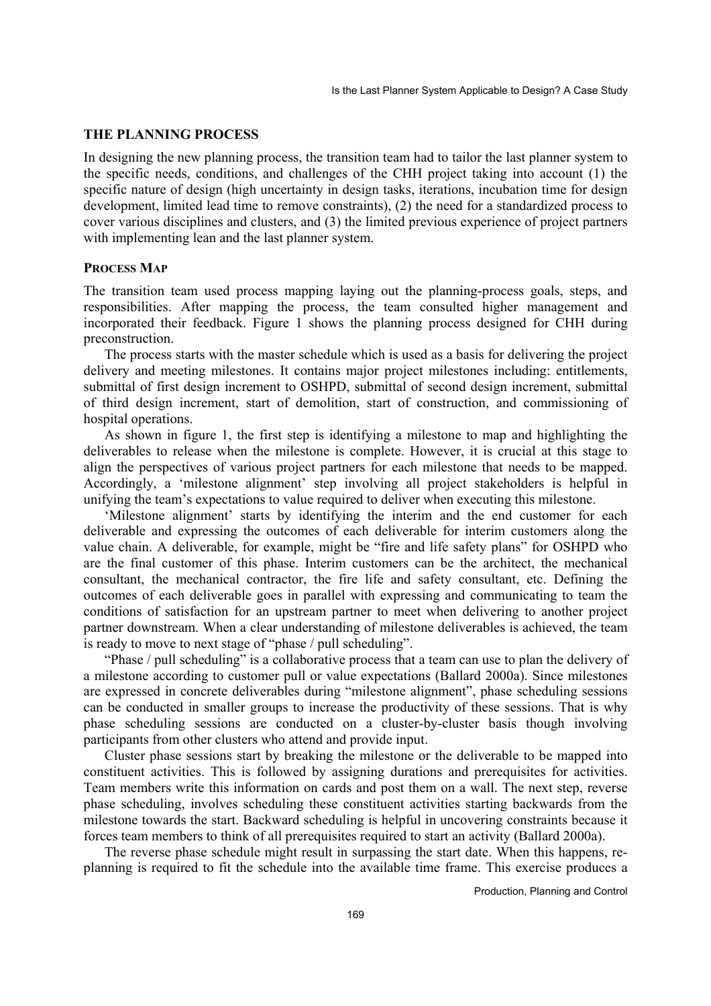## **THE PLANNING PROCESS**

In designing the new planning process, the transition team had to tailor the last planner system to the specific needs, conditions, and challenges of the CHH project taking into account (1) the specific nature of design (high uncertainty in design tasks, iterations, incubation time for design development, limited lead time to remove constraints), (2) the need for a standardized process to cover various disciplines and clusters, and (3) the limited previous experience of project partners with implementing lean and the last planner system.

#### **PROCESS MAP**

The transition team used process mapping laying out the planning-process goals, steps, and responsibilities. After mapping the process, the team consulted higher management and incorporated their feedback. Figure 1 shows the planning process designed for CHH during preconstruction.

The process starts with the master schedule which is used as a basis for delivering the project delivery and meeting milestones. It contains major project milestones including: entitlements, submittal of first design increment to OSHPD, submittal of second design increment, submittal of third design increment, start of demolition, start of construction, and commissioning of hospital operations.

As shown in figure 1, the first step is identifying a milestone to map and highlighting the deliverables to release when the milestone is complete. However, it is crucial at this stage to align the perspectives of various project partners for each milestone that needs to be mapped. Accordingly, a 'milestone alignment' step involving all project stakeholders is helpful in unifying the team's expectations to value required to deliver when executing this milestone.

'Milestone alignment' starts by identifying the interim and the end customer for each deliverable and expressing the outcomes of each deliverable for interim customers along the value chain. A deliverable, for example, might be "fire and life safety plans" for OSHPD who are the final customer of this phase. Interim customers can be the architect, the mechanical consultant, the mechanical contractor, the fire life and safety consultant, etc. Defining the outcomes of each deliverable goes in parallel with expressing and communicating to team the conditions of satisfaction for an upstream partner to meet when delivering to another project partner downstream. When a clear understanding of milestone deliverables is achieved, the team is ready to move to next stage of "phase / pull scheduling".

"Phase / pull scheduling" is a collaborative process that a team can use to plan the delivery of a milestone according to customer pull or value expectations (Ballard 2000a). Since milestones are expressed in concrete deliverables during "milestone alignment", phase scheduling sessions can be conducted in smaller groups to increase the productivity of these sessions. That is why phase scheduling sessions are conducted on a cluster-by-cluster basis though involving participants from other clusters who attend and provide input.

Cluster phase sessions start by breaking the milestone or the deliverable to be mapped into constituent activities. This is followed by assigning durations and prerequisites for activities. Team members write this information on cards and post them on a wall. The next step, reverse phase scheduling, involves scheduling these constituent activities starting backwards from the milestone towards the start. Backward scheduling is helpful in uncovering constraints because it forces team members to think of all prerequisites required to start an activity (Ballard 2000a).

The reverse phase schedule might result in surpassing the start date. When this happens, replanning is required to fit the schedule into the available time frame. This exercise produces a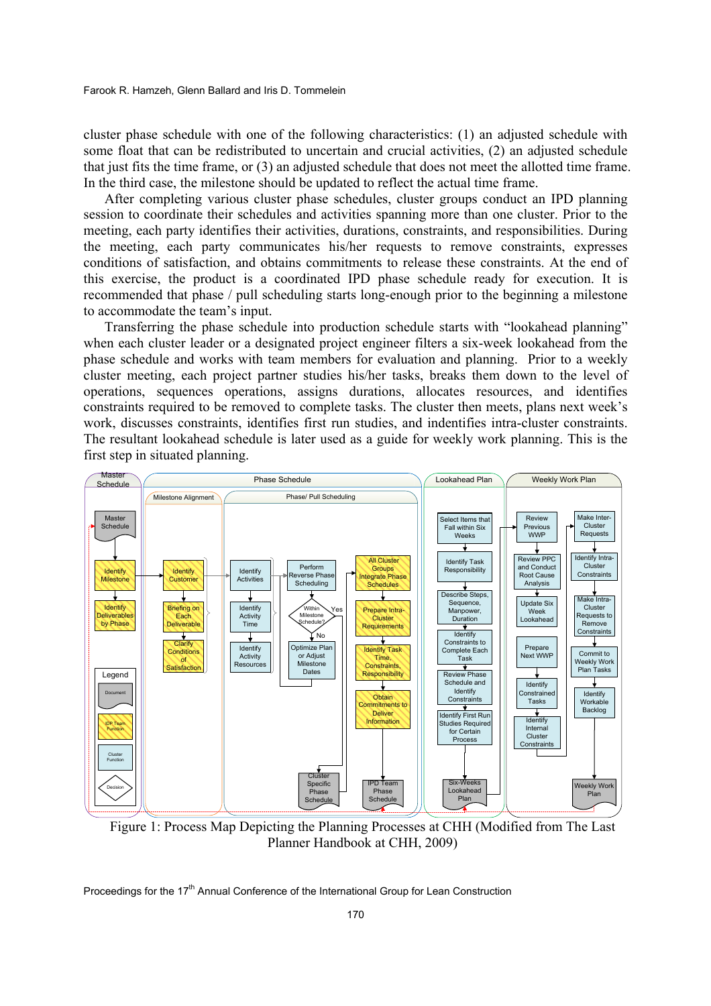cluster phase schedule with one of the following characteristics: (1) an adjusted schedule with some float that can be redistributed to uncertain and crucial activities, (2) an adjusted schedule that just fits the time frame, or (3) an adjusted schedule that does not meet the allotted time frame. In the third case, the milestone should be updated to reflect the actual time frame.

After completing various cluster phase schedules, cluster groups conduct an IPD planning session to coordinate their schedules and activities spanning more than one cluster. Prior to the meeting, each party identifies their activities, durations, constraints, and responsibilities. During the meeting, each party communicates his/her requests to remove constraints, expresses conditions of satisfaction, and obtains commitments to release these constraints. At the end of this exercise, the product is a coordinated IPD phase schedule ready for execution. It is recommended that phase / pull scheduling starts long-enough prior to the beginning a milestone to accommodate the team's input.

Transferring the phase schedule into production schedule starts with "lookahead planning" when each cluster leader or a designated project engineer filters a six-week lookahead from the phase schedule and works with team members for evaluation and planning. Prior to a weekly cluster meeting, each project partner studies his/her tasks, breaks them down to the level of operations, sequences operations, assigns durations, allocates resources, and identifies constraints required to be removed to complete tasks. The cluster then meets, plans next week's work, discusses constraints, identifies first run studies, and indentifies intra-cluster constraints. The resultant lookahead schedule is later used as a guide for weekly work planning. This is the first step in situated planning.



 Figure 1: Process Map Depicting the Planning Processes at CHH (Modified from The Last Planner Handbook at CHH, 2009)

Proceedings for the 17<sup>th</sup> Annual Conference of the International Group for Lean Construction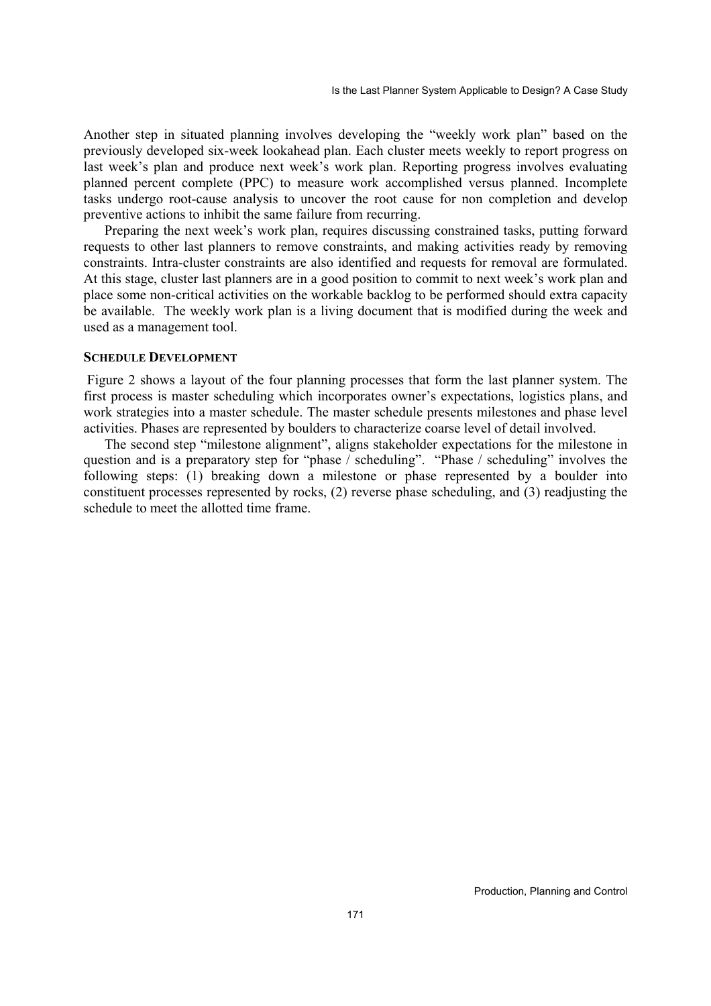Another step in situated planning involves developing the "weekly work plan" based on the previously developed six-week lookahead plan. Each cluster meets weekly to report progress on last week's plan and produce next week's work plan. Reporting progress involves evaluating planned percent complete (PPC) to measure work accomplished versus planned. Incomplete tasks undergo root-cause analysis to uncover the root cause for non completion and develop preventive actions to inhibit the same failure from recurring.

Preparing the next week's work plan, requires discussing constrained tasks, putting forward requests to other last planners to remove constraints, and making activities ready by removing constraints. Intra-cluster constraints are also identified and requests for removal are formulated. At this stage, cluster last planners are in a good position to commit to next week's work plan and place some non-critical activities on the workable backlog to be performed should extra capacity be available. The weekly work plan is a living document that is modified during the week and used as a management tool.

#### **SCHEDULE DEVELOPMENT**

 Figure 2 shows a layout of the four planning processes that form the last planner system. The first process is master scheduling which incorporates owner's expectations, logistics plans, and work strategies into a master schedule. The master schedule presents milestones and phase level activities. Phases are represented by boulders to characterize coarse level of detail involved.

The second step "milestone alignment", aligns stakeholder expectations for the milestone in question and is a preparatory step for "phase / scheduling". "Phase / scheduling" involves the following steps: (1) breaking down a milestone or phase represented by a boulder into constituent processes represented by rocks, (2) reverse phase scheduling, and (3) readjusting the schedule to meet the allotted time frame.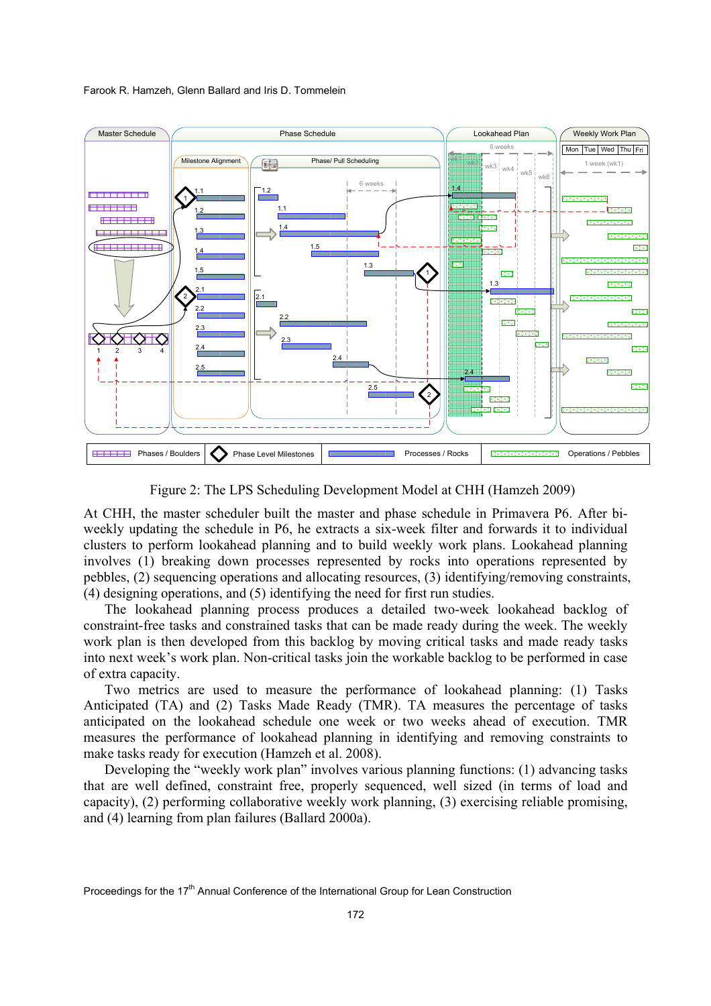Farook R. Hamzeh, Glenn Ballard and Iris D. Tommelein



Figure 2: The LPS Scheduling Development Model at CHH (Hamzeh 2009)

At CHH, the master scheduler built the master and phase schedule in Primavera P6. After biweekly updating the schedule in P6, he extracts a six-week filter and forwards it to individual clusters to perform lookahead planning and to build weekly work plans. Lookahead planning involves (1) breaking down processes represented by rocks into operations represented by pebbles, (2) sequencing operations and allocating resources, (3) identifying/removing constraints, (4) designing operations, and (5) identifying the need for first run studies.

The lookahead planning process produces a detailed two-week lookahead backlog of constraint-free tasks and constrained tasks that can be made ready during the week. The weekly work plan is then developed from this backlog by moving critical tasks and made ready tasks into next week's work plan. Non-critical tasks join the workable backlog to be performed in case of extra capacity.

Two metrics are used to measure the performance of lookahead planning: (1) Tasks Anticipated (TA) and (2) Tasks Made Ready (TMR). TA measures the percentage of tasks anticipated on the lookahead schedule one week or two weeks ahead of execution. TMR measures the performance of lookahead planning in identifying and removing constraints to make tasks ready for execution (Hamzeh et al. 2008).

Developing the "weekly work plan" involves various planning functions: (1) advancing tasks that are well defined, constraint free, properly sequenced, well sized (in terms of load and capacity), (2) performing collaborative weekly work planning, (3) exercising reliable promising, and (4) learning from plan failures (Ballard 2000a).

Proceedings for the 17<sup>th</sup> Annual Conference of the International Group for Lean Construction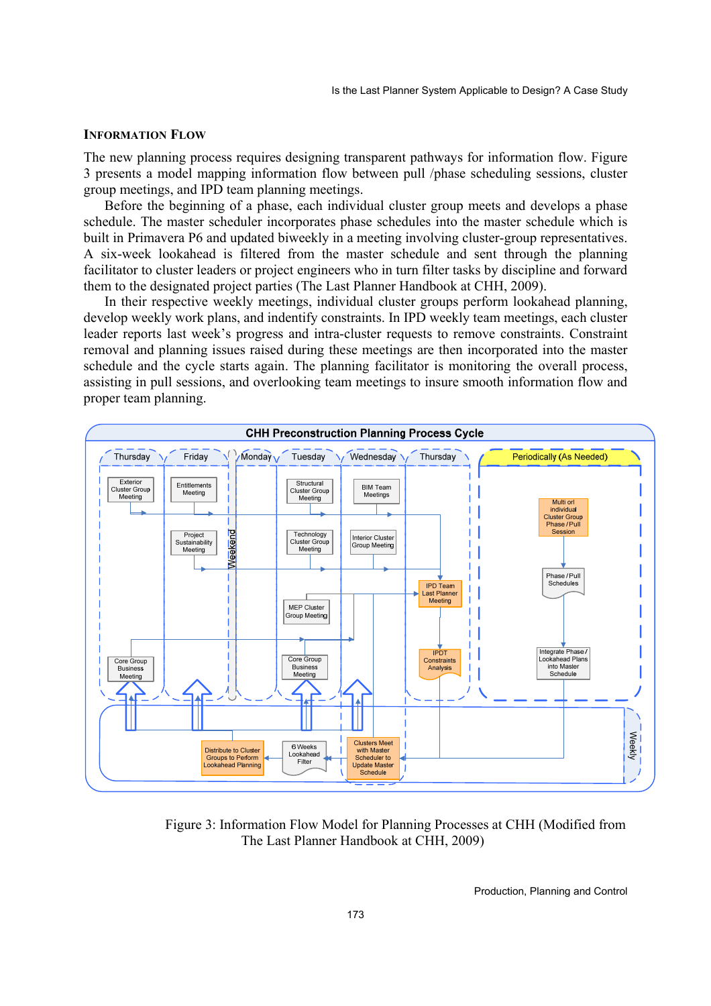#### **INFORMATION FLOW**

The new planning process requires designing transparent pathways for information flow. Figure 3 presents a model mapping information flow between pull /phase scheduling sessions, cluster group meetings, and IPD team planning meetings.

Before the beginning of a phase, each individual cluster group meets and develops a phase schedule. The master scheduler incorporates phase schedules into the master schedule which is built in Primavera P6 and updated biweekly in a meeting involving cluster-group representatives. A six-week lookahead is filtered from the master schedule and sent through the planning facilitator to cluster leaders or project engineers who in turn filter tasks by discipline and forward them to the designated project parties (The Last Planner Handbook at CHH, 2009).

In their respective weekly meetings, individual cluster groups perform lookahead planning, develop weekly work plans, and indentify constraints. In IPD weekly team meetings, each cluster leader reports last week's progress and intra-cluster requests to remove constraints. Constraint removal and planning issues raised during these meetings are then incorporated into the master schedule and the cycle starts again. The planning facilitator is monitoring the overall process, assisting in pull sessions, and overlooking team meetings to insure smooth information flow and proper team planning.



 Figure 3: Information Flow Model for Planning Processes at CHH (Modified from The Last Planner Handbook at CHH, 2009)

Production, Planning and Control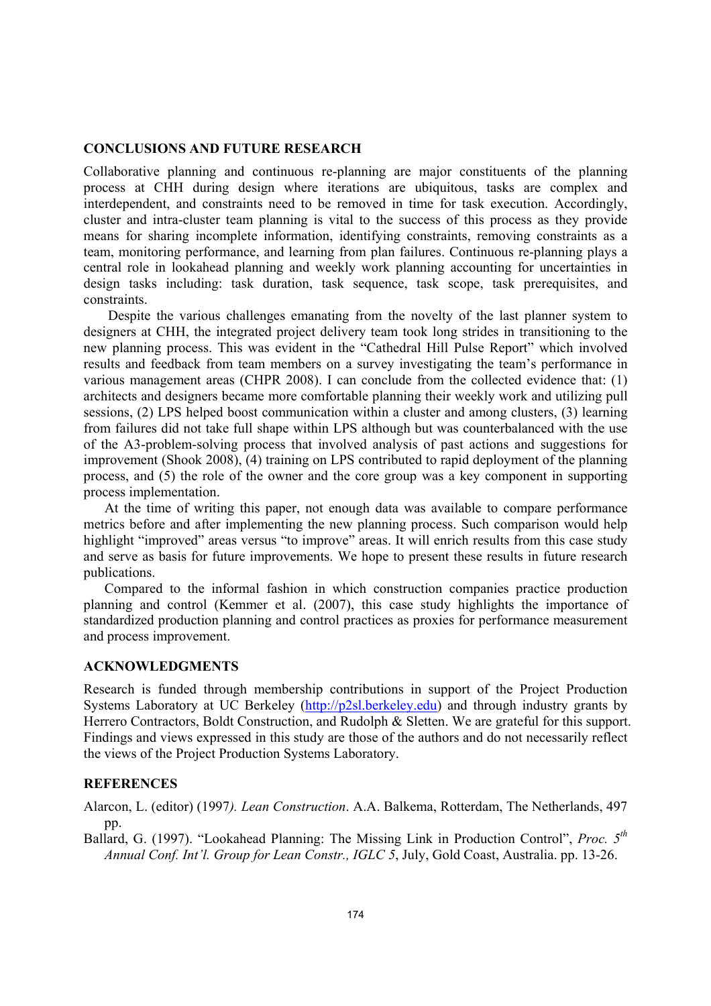#### **CONCLUSIONS AND FUTURE RESEARCH**

Collaborative planning and continuous re-planning are major constituents of the planning process at CHH during design where iterations are ubiquitous, tasks are complex and interdependent, and constraints need to be removed in time for task execution. Accordingly, cluster and intra-cluster team planning is vital to the success of this process as they provide means for sharing incomplete information, identifying constraints, removing constraints as a team, monitoring performance, and learning from plan failures. Continuous re-planning plays a central role in lookahead planning and weekly work planning accounting for uncertainties in design tasks including: task duration, task sequence, task scope, task prerequisites, and constraints.

 Despite the various challenges emanating from the novelty of the last planner system to designers at CHH, the integrated project delivery team took long strides in transitioning to the new planning process. This was evident in the "Cathedral Hill Pulse Report" which involved results and feedback from team members on a survey investigating the team's performance in various management areas (CHPR 2008). I can conclude from the collected evidence that: (1) architects and designers became more comfortable planning their weekly work and utilizing pull sessions, (2) LPS helped boost communication within a cluster and among clusters, (3) learning from failures did not take full shape within LPS although but was counterbalanced with the use of the A3-problem-solving process that involved analysis of past actions and suggestions for improvement (Shook 2008), (4) training on LPS contributed to rapid deployment of the planning process, and (5) the role of the owner and the core group was a key component in supporting process implementation.

At the time of writing this paper, not enough data was available to compare performance metrics before and after implementing the new planning process. Such comparison would help highlight "improved" areas versus "to improve" areas. It will enrich results from this case study and serve as basis for future improvements. We hope to present these results in future research publications.

Compared to the informal fashion in which construction companies practice production planning and control (Kemmer et al. (2007), this case study highlights the importance of standardized production planning and control practices as proxies for performance measurement and process improvement.

## **ACKNOWLEDGMENTS**

Research is funded through membership contributions in support of the Project Production Systems Laboratory at UC Berkeley (http://p2sl.berkeley.edu) and through industry grants by Herrero Contractors, Boldt Construction, and Rudolph & Sletten. We are grateful for this support. Findings and views expressed in this study are those of the authors and do not necessarily reflect the views of the Project Production Systems Laboratory.

## **REFERENCES**

Alarcon, L. (editor) (1997*). Lean Construction*. A.A. Balkema, Rotterdam, The Netherlands, 497 pp.

Ballard, G. (1997). "Lookahead Planning: The Missing Link in Production Control", *Proc. 5th Annual Conf. Int'l. Group for Lean Constr., IGLC 5*, July, Gold Coast, Australia. pp. 13-26.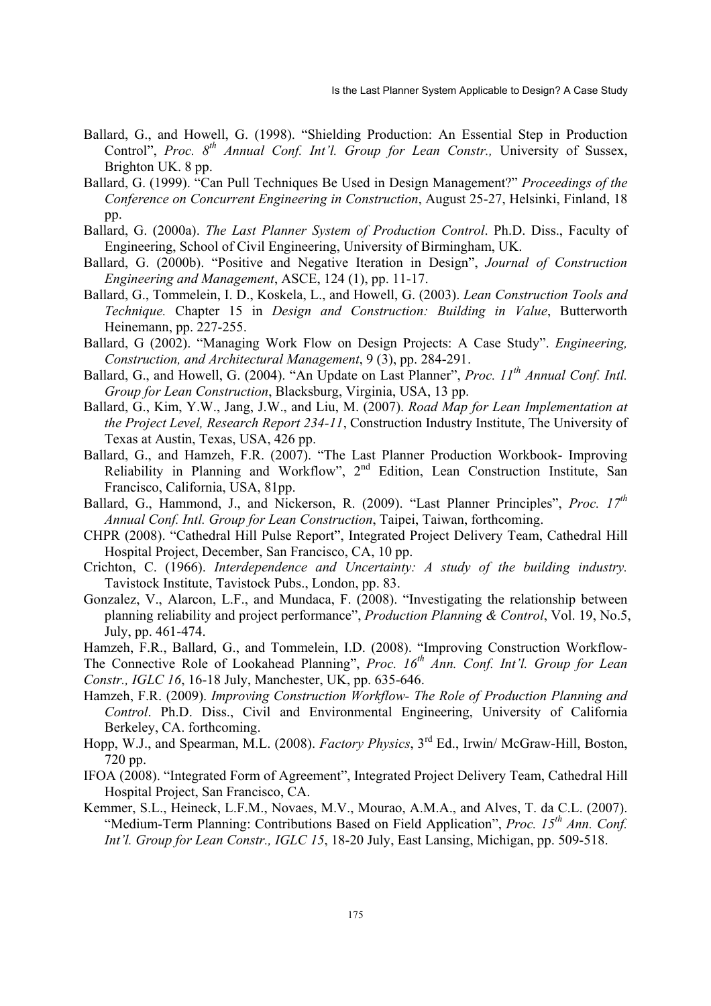- Ballard, G., and Howell, G. (1998). "Shielding Production: An Essential Step in Production Control", *Proc. 8th Annual Conf. Int'l. Group for Lean Constr.,* University of Sussex, Brighton UK. 8 pp.
- Ballard, G. (1999). "Can Pull Techniques Be Used in Design Management?" *Proceedings of the Conference on Concurrent Engineering in Construction*, August 25-27, Helsinki, Finland, 18 pp.
- Ballard, G. (2000a). *The Last Planner System of Production Control*. Ph.D. Diss., Faculty of Engineering, School of Civil Engineering, University of Birmingham, UK.
- Ballard, G. (2000b). "Positive and Negative Iteration in Design", *Journal of Construction Engineering and Management*, ASCE, 124 (1), pp. 11-17.
- Ballard, G., Tommelein, I. D., Koskela, L., and Howell, G. (2003). *Lean Construction Tools and Technique.* Chapter 15 in *Design and Construction: Building in Value*, Butterworth Heinemann, pp. 227-255.
- Ballard, G (2002). "Managing Work Flow on Design Projects: A Case Study". *Engineering, Construction, and Architectural Management*, 9 (3), pp. 284-291.
- Ballard, G., and Howell, G. (2004). "An Update on Last Planner", *Proc. 11th Annual Conf. Intl. Group for Lean Construction*, Blacksburg, Virginia, USA, 13 pp.
- Ballard, G., Kim, Y.W., Jang, J.W., and Liu, M. (2007). *Road Map for Lean Implementation at the Project Level, Research Report 234-11*, Construction Industry Institute, The University of Texas at Austin, Texas, USA, 426 pp.
- Ballard, G., and Hamzeh, F.R. (2007). "The Last Planner Production Workbook- Improving Reliability in Planning and Workflow", 2<sup>nd</sup> Edition, Lean Construction Institute, San Francisco, California, USA, 81pp.
- Ballard, G., Hammond, J., and Nickerson, R. (2009). "Last Planner Principles", *Proc. 17th Annual Conf. Intl. Group for Lean Construction*, Taipei, Taiwan, forthcoming.
- CHPR (2008). "Cathedral Hill Pulse Report", Integrated Project Delivery Team, Cathedral Hill Hospital Project, December, San Francisco, CA, 10 pp.
- Crichton, C. (1966). *Interdependence and Uncertainty: A study of the building industry.* Tavistock Institute, Tavistock Pubs., London, pp. 83.
- Gonzalez, V., Alarcon, L.F., and Mundaca, F. (2008). "Investigating the relationship between planning reliability and project performance", *Production Planning & Control*, Vol. 19, No.5, July, pp. 461-474.

Hamzeh, F.R., Ballard, G., and Tommelein, I.D. (2008). "Improving Construction Workflow-

- The Connective Role of Lookahead Planning", *Proc. 16th Ann. Conf. Int'l. Group for Lean Constr., IGLC 16*, 16-18 July, Manchester, UK, pp. 635-646.
- Hamzeh, F.R. (2009). *Improving Construction Workflow- The Role of Production Planning and Control*. Ph.D. Diss., Civil and Environmental Engineering, University of California Berkeley, CA. forthcoming.
- Hopp, W.J., and Spearman, M.L. (2008). *Factory Physics*, 3rd Ed., Irwin/ McGraw-Hill, Boston, 720 pp.
- IFOA (2008). "Integrated Form of Agreement", Integrated Project Delivery Team, Cathedral Hill Hospital Project, San Francisco, CA.
- Kemmer, S.L., Heineck, L.F.M., Novaes, M.V., Mourao, A.M.A., and Alves, T. da C.L. (2007). "Medium-Term Planning: Contributions Based on Field Application", *Proc. 15th Ann. Conf. Int'l. Group for Lean Constr., IGLC 15*, 18-20 July, East Lansing, Michigan, pp. 509-518.